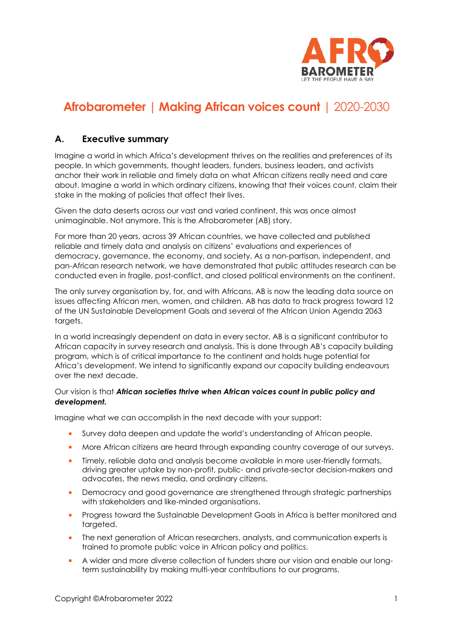

# **Afrobarometer | Making African voices count** | 2020-2030

# **A. Executive summary**

Imagine a world in which Africa's development thrives on the realities and preferences of its people. In which governments, thought leaders, funders, business leaders, and activists anchor their work in reliable and timely data on what African citizens really need and care about. Imagine a world in which ordinary citizens, knowing that their voices count, claim their stake in the making of policies that affect their lives.

Given the data deserts across our vast and varied continent, this was once almost unimaginable. Not anymore. This is the Afrobarometer (AB) story.

For more than 20 years, across 39 African countries, we have collected and published reliable and timely data and analysis on citizens' evaluations and experiences of democracy, governance, the economy, and society. As a non-partisan, independent, and pan-African research network, we have demonstrated that public attitudes research can be conducted even in fragile, post-conflict, and closed political environments on the continent.

The only survey organisation by, for, and with Africans, AB is now the leading data source on issues affecting African men, women, and children. AB has data to track progress toward 12 of the UN Sustainable Development Goals and several of the African Union Agenda 2063 targets.

In a world increasingly dependent on data in every sector, AB is a significant contributor to African capacity in survey research and analysis. This is done through AB's capacity building program, which is of critical importance to the continent and holds huge potential for Africa's development. We intend to significantly expand our capacity building endeavours over the next decade.

#### Our vision is that *African societies thrive when African voices count in public policy and development.*

Imagine what we can accomplish in the next decade with your support:

- **•** Survey data deepen and update the world's understanding of African people.
- More African citizens are heard through expanding country coverage of our surveys.
- **•** Timely, reliable data and analysis become available in more user-friendly formats, driving greater uptake by non-profit, public- and private-sector decision-makers and advocates, the news media, and ordinary citizens.
- **•** Democracy and good governance are strengthened through strategic partnerships with stakeholders and like-minded organisations.
- **•** Progress toward the Sustainable Development Goals in Africa is better monitored and targeted.
- The next generation of African researchers, analysts, and communication experts is trained to promote public voice in African policy and politics.
- **A** wider and more diverse collection of funders share our vision and enable our longterm sustainability by making multi-year contributions to our programs.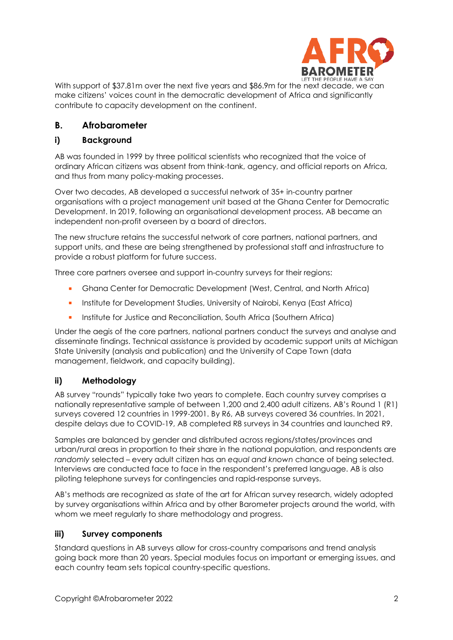

With support of \$37.81m over the next five years and \$86.9m for the next decade, we can make citizens' voices count in the democratic development of Africa and significantly contribute to capacity development on the continent.

# **B. Afrobarometer**

### **i) Background**

AB was founded in 1999 by three political scientists who recognized that the voice of ordinary African citizens was absent from think-tank, agency, and official reports on Africa, and thus from many policy-making processes.

Over two decades, AB developed a successful network of 35+ in-country partner organisations with a project management unit based at the Ghana Center for Democratic Development. In 2019, following an organisational development process, AB became an independent non-profit overseen by a board of directors.

The new structure retains the successful network of core partners, national partners, and support units, and these are being strengthened by professional staff and infrastructure to provide a robust platform for future success.

Three core partners oversee and support in-country surveys for their regions:

- Ghana Center for Democratic Development (West, Central, and North Africa)
- **•** Institute for Development Studies, University of Nairobi, Kenya (East Africa)
- **E** Institute for Justice and Reconciliation, South Africa (Southern Africa)

Under the aegis of the core partners, national partners conduct the surveys and analyse and disseminate findings. Technical assistance is provided by academic support units at Michigan State University (analysis and publication) and the University of Cape Town (data management, fieldwork, and capacity building).

### **ii) Methodology**

AB survey "rounds" typically take two years to complete. Each country survey comprises a nationally representative sample of between 1,200 and 2,400 adult citizens. AB's Round 1 (R1) surveys covered 12 countries in 1999-2001. By R6, AB surveys covered 36 countries. In 2021, despite delays due to COVID-19, AB completed R8 surveys in 34 countries and launched R9.

Samples are balanced by gender and distributed across regions/states/provinces and urban/rural areas in proportion to their share in the national population, and respondents are *randomly* selected – every adult citizen has an *equal and known* chance of being selected. Interviews are conducted face to face in the respondent's preferred language. AB is also piloting telephone surveys for contingencies and rapid-response surveys.

AB's methods are recognized as state of the art for African survey research, widely adopted by survey organisations within Africa and by other Barometer projects around the world, with whom we meet regularly to share methodology and progress.

### **iii) Survey components**

Standard questions in AB surveys allow for cross-country comparisons and trend analysis going back more than 20 years. Special modules focus on important or emerging issues, and each country team sets topical country-specific questions.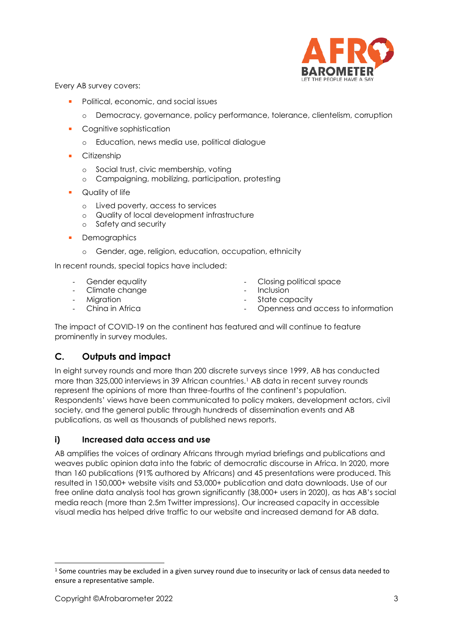

Every AB survey covers:

- Political, economic, and social issues
	- o Democracy, governance, policy performance, tolerance, clientelism, corruption
- Cognitive sophistication
	- o Education, news media use, political dialogue
- Citizenship
	- o Social trust, civic membership, voting
	- o Campaigning, mobilizing, participation, protesting
- Quality of life
	- o Lived poverty, access to services
	- o Quality of local development infrastructure
	- o Safety and security
- **Demographics** 
	- o Gender, age, religion, education, occupation, ethnicity

In recent rounds, special topics have included:

- Gender equality  **Closing political space** Climate change  $\overline{\phantom{a}}$  - Inclusion
- 
- 
- 
- Migration  **Migration** State capacity
- China in Africa  **China in Africa** Openness and access to information

The impact of COVID-19 on the continent has featured and will continue to feature prominently in survey modules.

# **C. Outputs and impact**

In eight survey rounds and more than 200 discrete surveys since 1999, AB has conducted more than 325,000 interviews in 39 African countries. <sup>1</sup> AB data in recent survey rounds represent the opinions of more than three-fourths of the continent's population. Respondents' views have been communicated to policy makers, development actors, civil society, and the general public through hundreds of dissemination events and AB publications, as well as thousands of published news reports.

### **i) Increased data access and use**

AB amplifies the voices of ordinary Africans through myriad briefings and publications and weaves public opinion data into the fabric of democratic discourse in Africa. In 2020, more than 160 publications (91% authored by Africans) and 45 presentations were produced. This resulted in 150,000+ website visits and 53,000+ publication and data downloads. Use of our free online data analysis tool has grown significantly (38,000+ users in 2020), as has AB's social media reach (more than 2.5m Twitter impressions). Our increased capacity in accessible visual media has helped drive traffic to our website and increased demand for AB data.

 $1$  Some countries may be excluded in a given survey round due to insecurity or lack of census data needed to ensure a representative sample.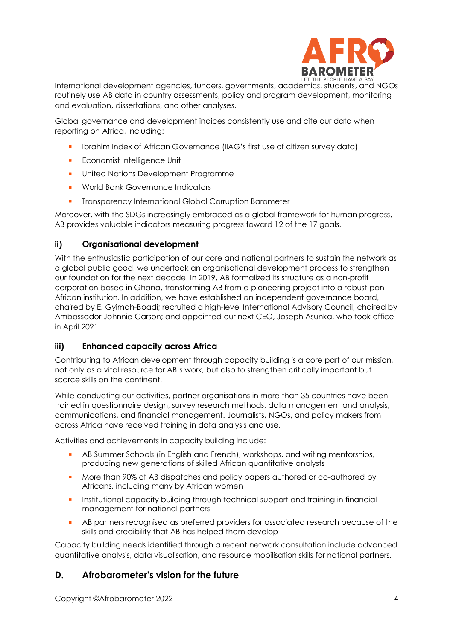

International development agencies, funders, governments, academics, students, and NGOs routinely use AB data in country assessments, policy and program development, monitoring and evaluation, dissertations, and other analyses.

Global governance and development indices consistently use and cite our data when reporting on Africa, including:

- Ibrahim Index of African Governance (IIAG's first use of citizen survey data)
- **Economist Intelligence Unit**
- **■** United Nations Development Programme
- World Bank Governance Indicators
- **•** Transparency International Global Corruption Barometer

Moreover, with the SDGs increasingly embraced as a global framework for human progress, AB provides valuable indicators measuring progress toward 12 of the 17 goals.

# **ii) Organisational development**

With the enthusiastic participation of our core and national partners to sustain the network as a global public good, we undertook an organisational development process to strengthen our foundation for the next decade. In 2019, AB formalized its structure as a non-profit corporation based in Ghana, transforming AB from a pioneering project into a robust pan-African institution. In addition, we have established an independent governance board, chaired by E. Gyimah-Boadi; recruited a high-level International Advisory Council, chaired by Ambassador Johnnie Carson; and appointed our next CEO, Joseph Asunka, who took office in April 2021.

### **iii) Enhanced capacity across Africa**

Contributing to African development through capacity building is a core part of our mission, not only as a vital resource for AB's work, but also to strengthen critically important but scarce skills on the continent.

While conducting our activities, partner organisations in more than 35 countries have been trained in questionnaire design, survey research methods, data management and analysis, communications, and financial management. Journalists, NGOs, and policy makers from across Africa have received training in data analysis and use.

Activities and achievements in capacity building include:

- AB Summer Schools (in English and French), workshops, and writing mentorships, producing new generations of skilled African quantitative analysts
- **•** More than 90% of AB dispatches and policy papers authored or co-authored by Africans, including many by African women
- **EXECT** Institutional capacity building through technical support and training in financial management for national partners
- **AB partners recognised as preferred providers for associated research because of the** skills and credibility that AB has helped them develop

Capacity building needs identified through a recent network consultation include advanced quantitative analysis, data visualisation, and resource mobilisation skills for national partners.

# **D. Afrobarometer's vision for the future**

Copyright ©Afrobarometer 2022 4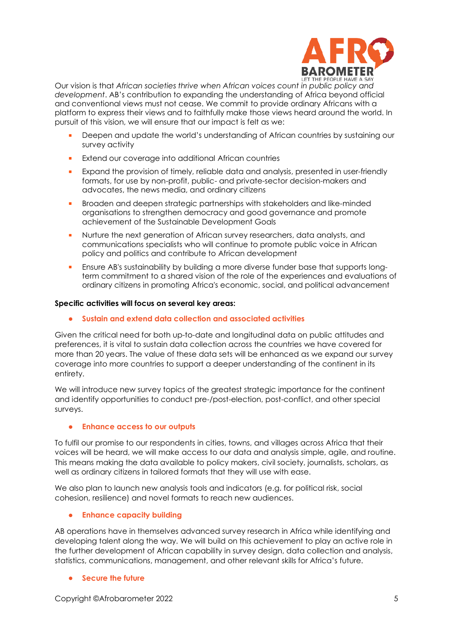

Our vision is that *African societies thrive when African voices count in public policy and development*. AB's contribution to expanding the understanding of Africa beyond official and conventional views must not cease. We commit to provide ordinary Africans with a platform to express their views and to faithfully make those views heard around the world. In pursuit of this vision, we will ensure that our impact is felt as we:

- Deepen and update the world's understanding of African countries by sustaining our survey activity
- Extend our coverage into additional African countries
- **Expand the provision of timely, reliable data and analysis, presented in user-friendly** formats, for use by non-profit, public- and private-sector decision-makers and advocates, the news media, and ordinary citizens
- **■** Broaden and deepen strategic partnerships with stakeholders and like-minded organisations to strengthen democracy and good governance and promote achievement of the Sustainable Development Goals
- **•** Nurture the next generation of African survey researchers, data analysts, and communications specialists who will continue to promote public voice in African policy and politics and contribute to African development
- Ensure AB's sustainability by building a more diverse funder base that supports longterm commitment to a shared vision of the role of the experiences and evaluations of ordinary citizens in promoting Africa's economic, social, and political advancement

#### **Specific activities will focus on several key areas:**

• **Sustain and extend data collection and associated activities**

Given the critical need for both up-to-date and longitudinal data on public attitudes and preferences, it is vital to sustain data collection across the countries we have covered for more than 20 years. The value of these data sets will be enhanced as we expand our survey coverage into more countries to support a deeper understanding of the continent in its entirety.

We will introduce new survey topics of the greatest strategic importance for the continent and identify opportunities to conduct pre-/post-election, post-conflict, and other special surveys.

#### • **Enhance access to our outputs**

To fulfil our promise to our respondents in cities, towns, and villages across Africa that their voices will be heard, we will make access to our data and analysis simple, agile, and routine. This means making the data available to policy makers, civil society, journalists, scholars, as well as ordinary citizens in tailored formats that they will use with ease.

We also plan to launch new analysis tools and indicators (e.g. for political risk, social cohesion, resilience) and novel formats to reach new audiences.

#### • **Enhance capacity building**

AB operations have in themselves advanced survey research in Africa while identifying and developing talent along the way. We will build on this achievement to play an active role in the further development of African capability in survey design, data collection and analysis, statistics, communications, management, and other relevant skills for Africa's future.

#### • **Secure the future**

Copyright ©Afrobarometer 2022 5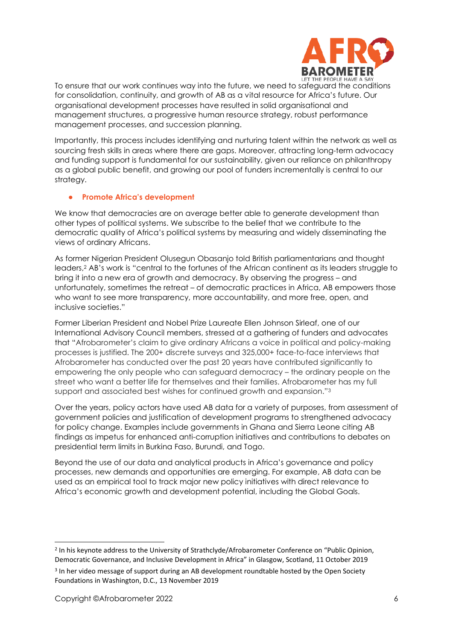

To ensure that our work continues way into the future, we need to safeguard the conditions for consolidation, continuity, and growth of AB as a vital resource for Africa's future. Our organisational development processes have resulted in solid organisational and management structures, a progressive human resource strategy, robust performance management processes, and succession planning.

Importantly, this process includes identifying and nurturing talent within the network as well as sourcing fresh skills in areas where there are gaps. Moreover, attracting long-term advocacy and funding support is fundamental for our sustainability, given our reliance on philanthropy as a global public benefit, and growing our pool of funders incrementally is central to our strategy.

#### • **Promote Africa's development**

We know that democracies are on average better able to generate development than other types of political systems. We subscribe to the belief that we contribute to the democratic quality of Africa's political systems by measuring and widely disseminating the views of ordinary Africans.

As former Nigerian President Olusegun Obasanjo told British parliamentarians and thought leaders,<sup>2</sup> AB's work is "central to the fortunes of the African continent as its leaders struggle to bring it into a new era of growth and democracy. By observing the progress – and unfortunately, sometimes the retreat – of democratic practices in Africa, AB empowers those who want to see more transparency, more accountability, and more free, open, and inclusive societies."

Former Liberian President and Nobel Prize Laureate Ellen Johnson Sirleaf, one of our International Advisory Council members, stressed at a gathering of funders and advocates that "Afrobarometer's claim to give ordinary Africans a voice in political and policy-making processes is justified. The 200+ discrete surveys and 325,000+ face-to-face interviews that Afrobarometer has conducted over the past 20 years have contributed significantly to empowering the only people who can safeguard democracy – the ordinary people on the street who want a better life for themselves and their families. Afrobarometer has my full support and associated best wishes for continued growth and expansion." 3

Over the years, policy actors have used AB data for a variety of purposes, from assessment of government policies and justification of development programs to strengthened advocacy for policy change. Examples include governments in Ghana and Sierra Leone citing AB findings as impetus for enhanced anti-corruption initiatives and contributions to debates on presidential term limits in Burkina Faso, Burundi, and Togo.

Beyond the use of our data and analytical products in Africa's governance and policy processes, new demands and opportunities are emerging. For example, AB data can be used as an empirical tool to track major new policy initiatives with direct relevance to Africa's economic growth and development potential, including the Global Goals.

<sup>&</sup>lt;sup>2</sup> In his keynote address to the University of Strathclyde/Afrobarometer Conference on "Public Opinion, Democratic Governance, and Inclusive Development in Africa" in Glasgow, Scotland, 11 October 2019

<sup>&</sup>lt;sup>3</sup> In her video message of support during an AB development roundtable hosted by the Open Society Foundations in Washington, D.C., 13 November 2019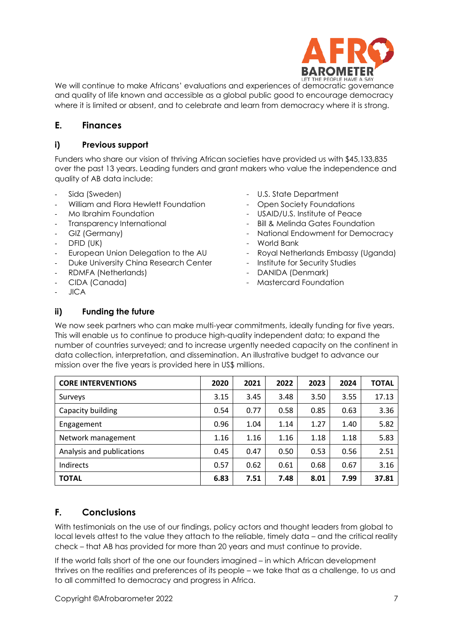

We will continue to make Africans' evaluations and experiences of democratic governance and quality of life known and accessible as a global public good to encourage democracy where it is limited or absent, and to celebrate and learn from democracy where it is strong.

# **E. Finances**

#### **i) Previous support**

Funders who share our vision of thriving African societies have provided us with \$45,133,835 over the past 13 years. Leading funders and grant makers who value the independence and quality of AB data include:

- 
- William and Flora Hewlett Foundation Open Society Foundations
- 
- 
- 
- 
- European Union Delegation to the AU Royal Netherlands Embassy (Uganda)<br>- Duke University China Research Center Institute for Security Studies
- Duke University China Research Center
- 
- 
- JICA
- Sida (Sweden)  $-$  U.S. State Department
	-
- Mo Ibrahim Foundation  $\blacksquare$  USAID/U.S. Institute of Peace
- Transparency International Transparency international Bill & Melinda Gates Foundation
	- GIZ (Germany) National Endowment for Democracy
	- DFID (UK) World Bank
		-
		-
	- RDMFA (Netherlands) DANIDA (Denmark)
	- CIDA (Canada) Mastercard Foundation

### **ii) Funding the future**

We now seek partners who can make multi-year commitments, ideally funding for five years. This will enable us to continue to produce high-quality independent data; to expand the number of countries surveyed; and to increase urgently needed capacity on the continent in data collection, interpretation, and dissemination. An illustrative budget to advance our mission over the five years is provided here in US\$ millions.

| <b>CORE INTERVENTIONS</b> | 2020 | 2021 | 2022 | 2023 | 2024 | <b>TOTAL</b> |
|---------------------------|------|------|------|------|------|--------------|
| Surveys                   | 3.15 | 3.45 | 3.48 | 3.50 | 3.55 | 17.13        |
| Capacity building         | 0.54 | 0.77 | 0.58 | 0.85 | 0.63 | 3.36         |
| Engagement                | 0.96 | 1.04 | 1.14 | 1.27 | 1.40 | 5.82         |
| Network management        | 1.16 | 1.16 | 1.16 | 1.18 | 1.18 | 5.83         |
| Analysis and publications | 0.45 | 0.47 | 0.50 | 0.53 | 0.56 | 2.51         |
| Indirects                 | 0.57 | 0.62 | 0.61 | 0.68 | 0.67 | 3.16         |
| <b>TOTAL</b>              | 6.83 | 7.51 | 7.48 | 8.01 | 7.99 | 37.81        |

# **F. Conclusions**

With testimonials on the use of our findings, policy actors and thought leaders from global to local levels attest to the value they attach to the reliable, timely data – and the critical reality check – that AB has provided for more than 20 years and must continue to provide.

If the world falls short of the one our founders imagined – in which African development thrives on the realities and preferences of its people – we take that as a challenge, to us and to all committed to democracy and progress in Africa.